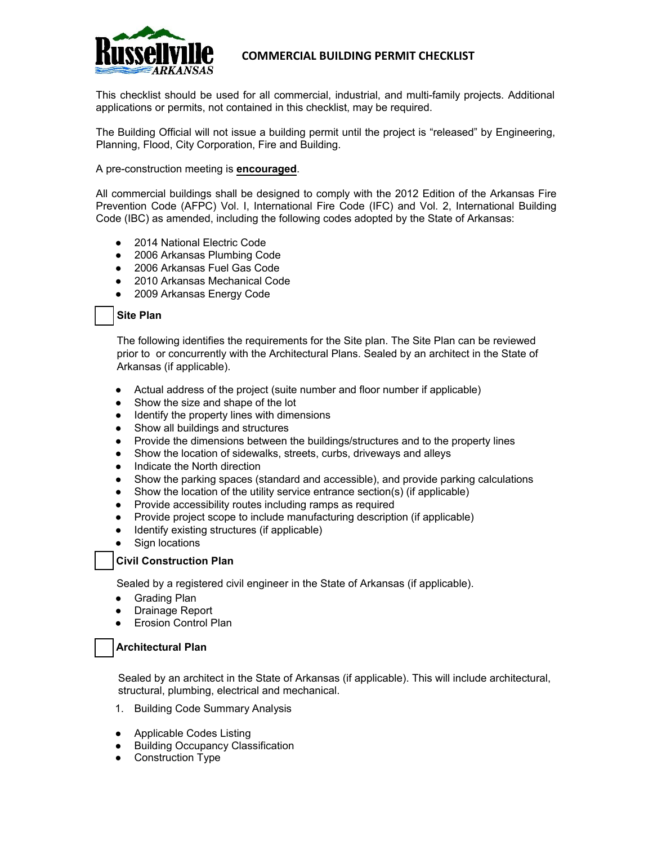

# **COMMERCIAL BUILDING PERMIT CHECKLIST**

This checklist should be used for all commercial, industrial, and multi-family projects. Additional applications or permits, not contained in this checklist, may be required.

The Building Official will not issue a building permit until the project is "released" by Engineering, Planning, Flood, City Corporation, Fire and Building.

#### A pre-construction meeting is **encouraged**.

All commercial buildings shall be designed to comply with the 2012 Edition of the Arkansas Fire Prevention Code (AFPC) Vol. I, International Fire Code (IFC) and Vol. 2, International Building Code (IBC) as amended, including the following codes adopted by the State of Arkansas:

- 2014 National Electric Code
- 2006 Arkansas Plumbing Code
- 2006 Arkansas Fuel Gas Code
- 2010 Arkansas Mechanical Code
- 2009 Arkansas Energy Code

#### **Site Plan**

The following identifies the requirements for the Site plan. The Site Plan can be reviewed prior to or concurrently with the Architectural Plans. Sealed by an architect in the State of Arkansas (if applicable).

- Actual address of the project (suite number and floor number if applicable)
- Show the size and shape of the lot
- Identify the property lines with dimensions
- Show all buildings and structures
- Provide the dimensions between the buildings/structures and to the property lines
- Show the location of sidewalks, streets, curbs, driveways and alleys
- Indicate the North direction
- Show the parking spaces (standard and accessible), and provide parking calculations
- Show the location of the utility service entrance section(s) (if applicable)
- Provide accessibility routes including ramps as required
- Provide project scope to include manufacturing description (if applicable)
- Identify existing structures (if applicable)
- **Sign locations**

## **Civil Construction Plan**

Sealed by a registered civil engineer in the State of Arkansas (if applicable).

- Grading Plan
- Drainage Report
- **Erosion Control Plan**

## **Architectural Plan**

Sealed by an architect in the State of Arkansas (if applicable). This will include architectural, structural, plumbing, electrical and mechanical.

- 1. Building Code Summary Analysis
- Applicable Codes Listing
- **Building Occupancy Classification**
- Construction Type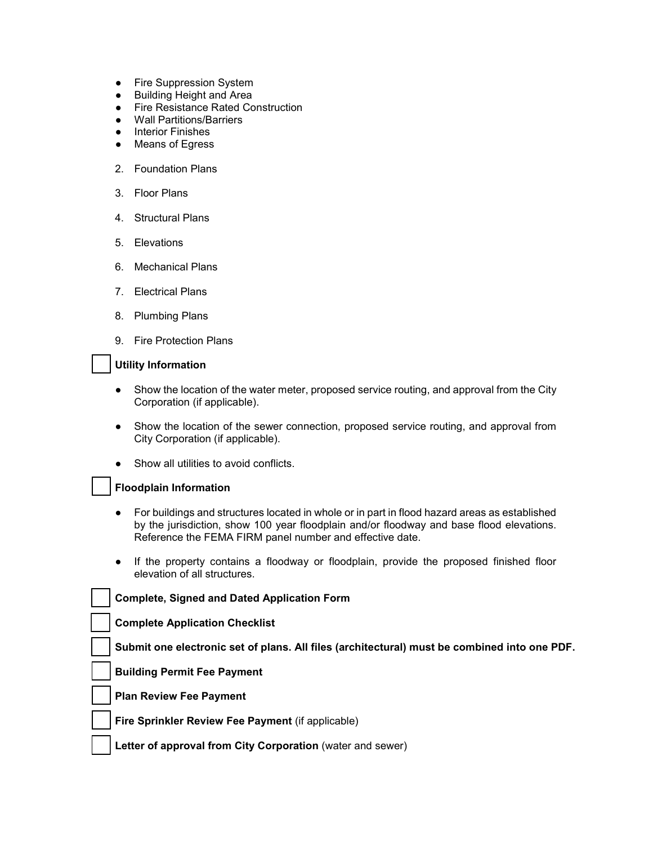- Fire Suppression System
- Building Height and Area
- Fire Resistance Rated Construction
- Wall Partitions/Barriers
- Interior Finishes
- Means of Egress
- 2. Foundation Plans
- 3. Floor Plans
- 4. Structural Plans
- 5. Elevations
- 6. Mechanical Plans
- 7. Electrical Plans
- 8. Plumbing Plans
- 9. Fire Protection Plans

#### **Utility Information**

- Show the location of the water meter, proposed service routing, and approval from the City Corporation (if applicable).
- Show the location of the sewer connection, proposed service routing, and approval from City Corporation (if applicable).
- Show all utilities to avoid conflicts.

## **Floodplain Information**

- For buildings and structures located in whole or in part in flood hazard areas as established by the jurisdiction, show 100 year floodplain and/or floodway and base flood elevations. Reference the FEMA FIRM panel number and effective date.
- If the property contains a floodway or floodplain, provide the proposed finished floor elevation of all structures.

| <b>Complete, Signed and Dated Application Form</b>                                           |
|----------------------------------------------------------------------------------------------|
| <b>Complete Application Checklist</b>                                                        |
| Submit one electronic set of plans. All files (architectural) must be combined into one PDF. |
| <b>Building Permit Fee Payment</b>                                                           |
| <b>Plan Review Fee Payment</b>                                                               |
| Fire Sprinkler Review Fee Payment (if applicable)                                            |

**Letter of approval from City Corporation** (water and sewer)